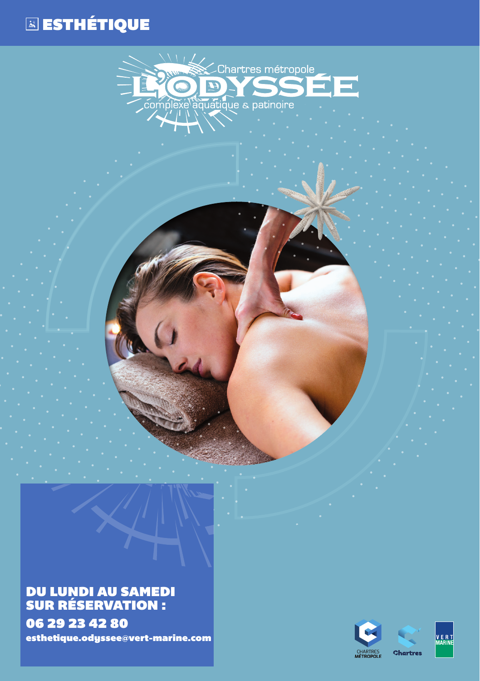## ESTHÉTIQUE



## DU LUNDI AU SAMEDI SUR RÉSERVATION : 06 29 23 42 80 esthetique.odyssee@vert-marine.com

CHARTRES<br>MÉTROPOLE **Chartres**